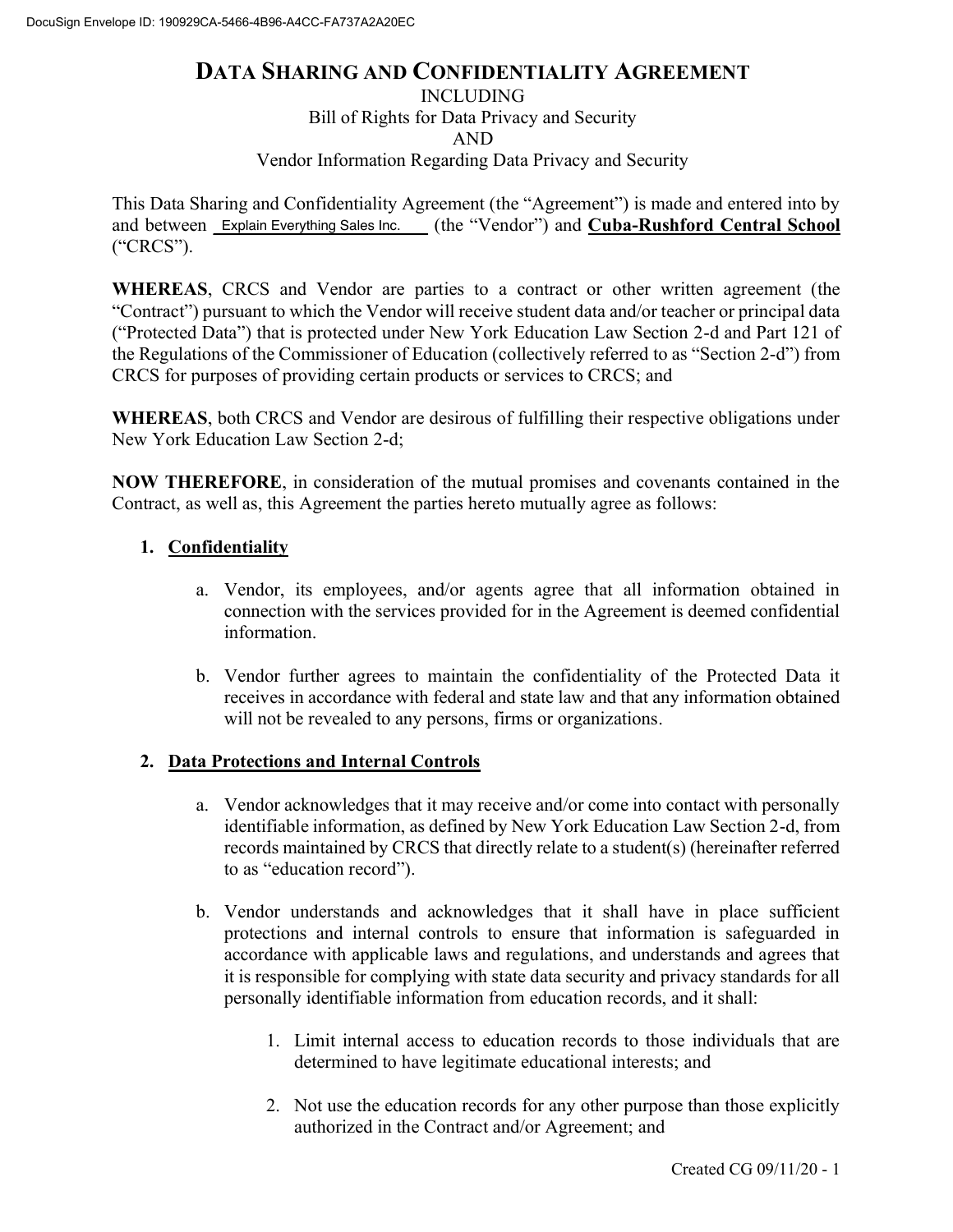### **DATA SHARING AND CONFIDENTIALITY AGREEMENT**

INCLUDING

Bill of Rights for Data Privacy and Security

AND

Vendor Information Regarding Data Privacy and Security

This Data Sharing and Confidentiality Agreement (the "Agreement") is made and entered into by and between Explain Everything Sales Inc. (the "Vendor") and **Cuba-Rushford Central School** ("CRCS").

**WHEREAS**, CRCS and Vendor are parties to a contract or other written agreement (the "Contract") pursuant to which the Vendor will receive student data and/or teacher or principal data ("Protected Data") that is protected under New York Education Law Section 2-d and Part 121 of the Regulations of the Commissioner of Education (collectively referred to as "Section 2-d") from CRCS for purposes of providing certain products or services to CRCS; and

**WHEREAS**, both CRCS and Vendor are desirous of fulfilling their respective obligations under New York Education Law Section 2-d;

**NOW THEREFORE**, in consideration of the mutual promises and covenants contained in the Contract, as well as, this Agreement the parties hereto mutually agree as follows:

#### **1. Confidentiality**

- a. Vendor, its employees, and/or agents agree that all information obtained in connection with the services provided for in the Agreement is deemed confidential information.
- b. Vendor further agrees to maintain the confidentiality of the Protected Data it receives in accordance with federal and state law and that any information obtained will not be revealed to any persons, firms or organizations.

#### **2. Data Protections and Internal Controls**

- a. Vendor acknowledges that it may receive and/or come into contact with personally identifiable information, as defined by New York Education Law Section 2-d, from records maintained by CRCS that directly relate to a student(s) (hereinafter referred to as "education record").
- b. Vendor understands and acknowledges that it shall have in place sufficient protections and internal controls to ensure that information is safeguarded in accordance with applicable laws and regulations, and understands and agrees that it is responsible for complying with state data security and privacy standards for all personally identifiable information from education records, and it shall:
	- 1. Limit internal access to education records to those individuals that are determined to have legitimate educational interests; and
	- 2. Not use the education records for any other purpose than those explicitly authorized in the Contract and/or Agreement; and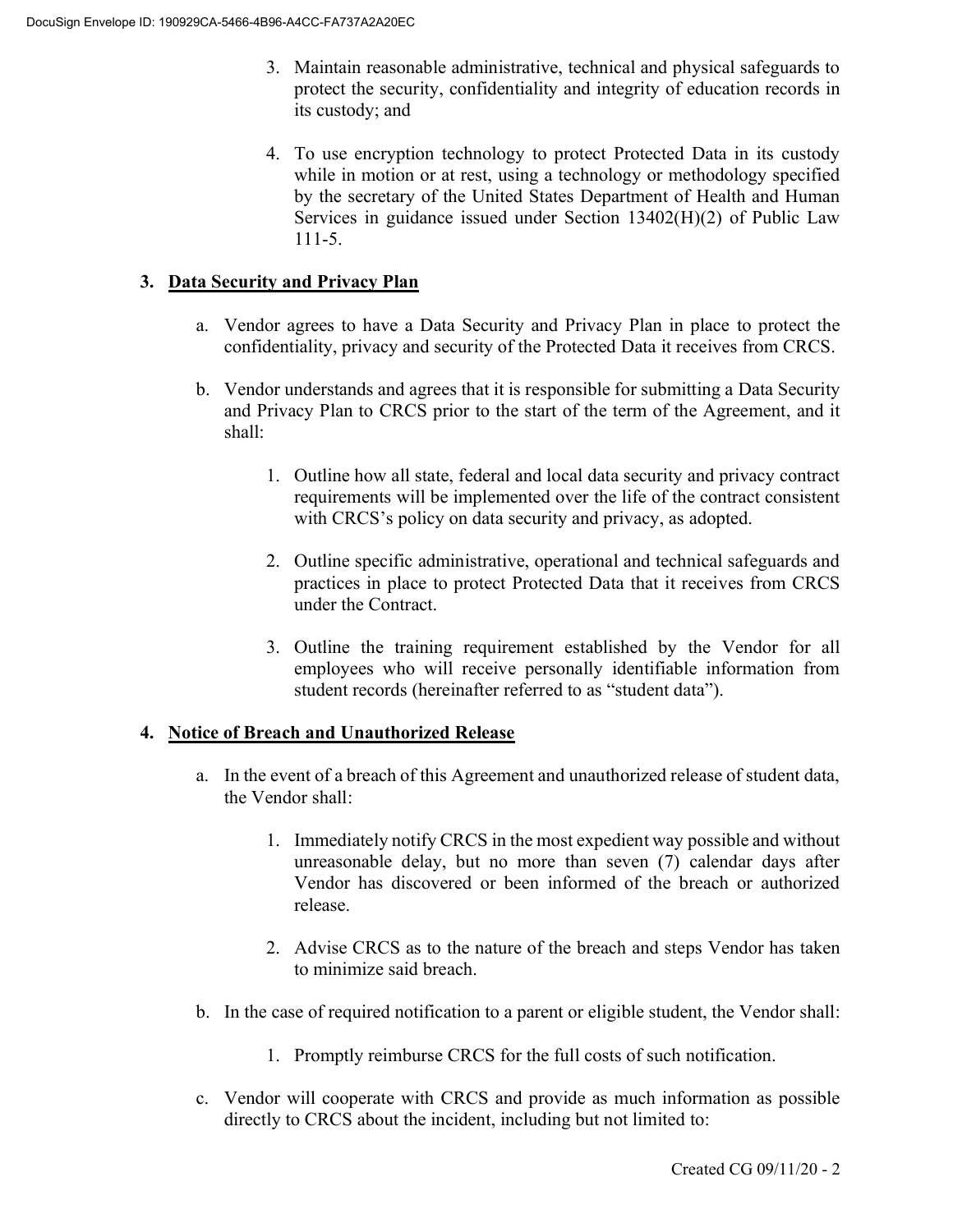- 3. Maintain reasonable administrative, technical and physical safeguards to protect the security, confidentiality and integrity of education records in its custody; and
- 4. To use encryption technology to protect Protected Data in its custody while in motion or at rest, using a technology or methodology specified by the secretary of the United States Department of Health and Human Services in guidance issued under Section 13402(H)(2) of Public Law 111-5.

#### **3. Data Security and Privacy Plan**

- a. Vendor agrees to have a Data Security and Privacy Plan in place to protect the confidentiality, privacy and security of the Protected Data it receives from CRCS.
- b. Vendor understands and agrees that it is responsible for submitting a Data Security and Privacy Plan to CRCS prior to the start of the term of the Agreement, and it shall:
	- 1. Outline how all state, federal and local data security and privacy contract requirements will be implemented over the life of the contract consistent with CRCS's policy on data security and privacy, as adopted.
	- 2. Outline specific administrative, operational and technical safeguards and practices in place to protect Protected Data that it receives from CRCS under the Contract.
	- 3. Outline the training requirement established by the Vendor for all employees who will receive personally identifiable information from student records (hereinafter referred to as "student data").

#### **4. Notice of Breach and Unauthorized Release**

- a. In the event of a breach of this Agreement and unauthorized release of student data, the Vendor shall:
	- 1. Immediately notify CRCS in the most expedient way possible and without unreasonable delay, but no more than seven (7) calendar days after Vendor has discovered or been informed of the breach or authorized release.
	- 2. Advise CRCS as to the nature of the breach and steps Vendor has taken to minimize said breach.
- b. In the case of required notification to a parent or eligible student, the Vendor shall:
	- 1. Promptly reimburse CRCS for the full costs of such notification.
- c. Vendor will cooperate with CRCS and provide as much information as possible directly to CRCS about the incident, including but not limited to: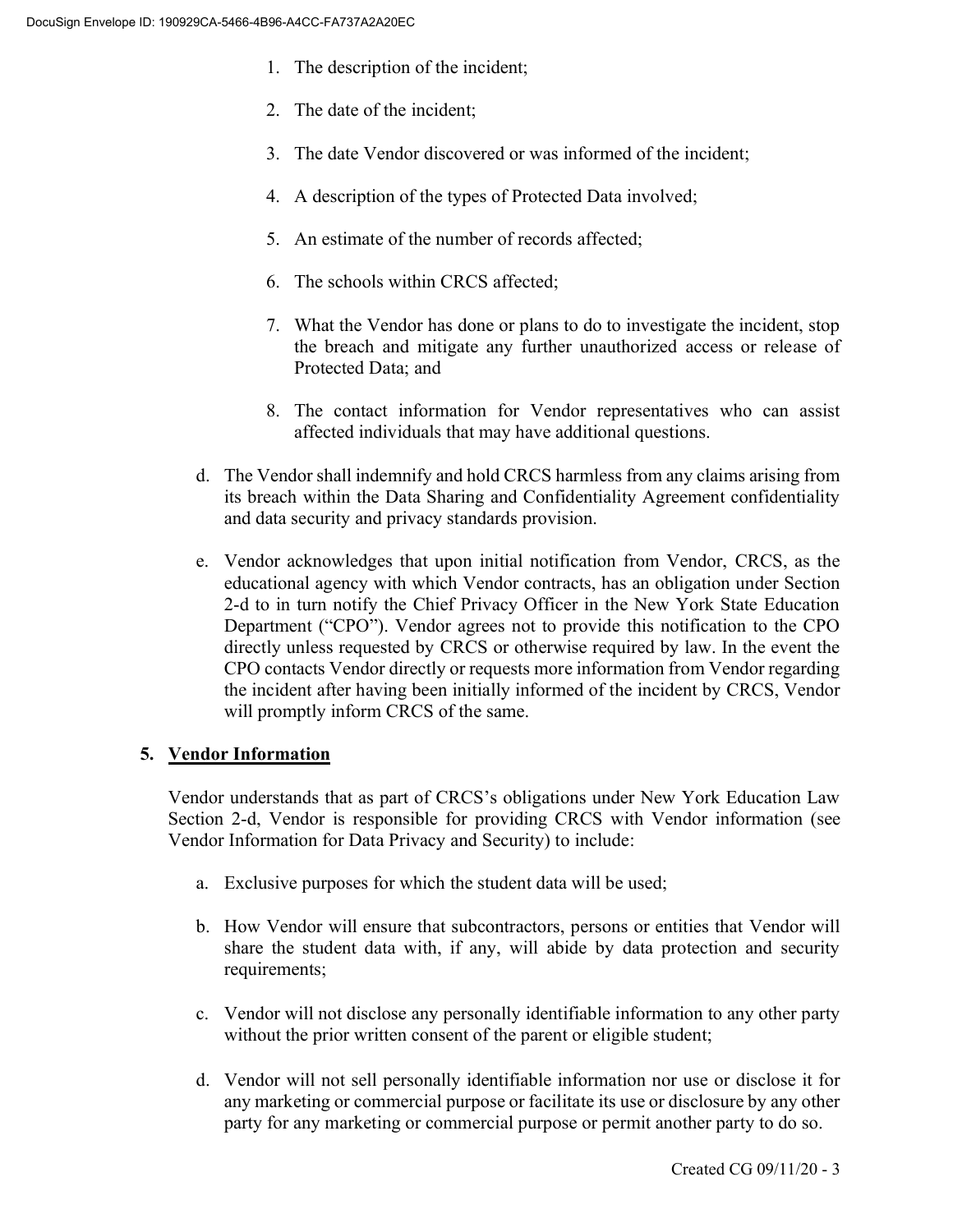- 1. The description of the incident;
- 2. The date of the incident;
- 3. The date Vendor discovered or was informed of the incident;
- 4. A description of the types of Protected Data involved;
- 5. An estimate of the number of records affected;
- 6. The schools within CRCS affected;
- 7. What the Vendor has done or plans to do to investigate the incident, stop the breach and mitigate any further unauthorized access or release of Protected Data; and
- 8. The contact information for Vendor representatives who can assist affected individuals that may have additional questions.
- d. The Vendor shall indemnify and hold CRCS harmless from any claims arising from its breach within the Data Sharing and Confidentiality Agreement confidentiality and data security and privacy standards provision.
- e. Vendor acknowledges that upon initial notification from Vendor, CRCS, as the educational agency with which Vendor contracts, has an obligation under Section 2-d to in turn notify the Chief Privacy Officer in the New York State Education Department ("CPO"). Vendor agrees not to provide this notification to the CPO directly unless requested by CRCS or otherwise required by law. In the event the CPO contacts Vendor directly or requests more information from Vendor regarding the incident after having been initially informed of the incident by CRCS, Vendor will promptly inform CRCS of the same.

#### **5. Vendor Information**

Vendor understands that as part of CRCS's obligations under New York Education Law Section 2-d, Vendor is responsible for providing CRCS with Vendor information (see Vendor Information for Data Privacy and Security) to include:

- a. Exclusive purposes for which the student data will be used;
- b. How Vendor will ensure that subcontractors, persons or entities that Vendor will share the student data with, if any, will abide by data protection and security requirements;
- c. Vendor will not disclose any personally identifiable information to any other party without the prior written consent of the parent or eligible student;
- d. Vendor will not sell personally identifiable information nor use or disclose it for any marketing or commercial purpose or facilitate its use or disclosure by any other party for any marketing or commercial purpose or permit another party to do so.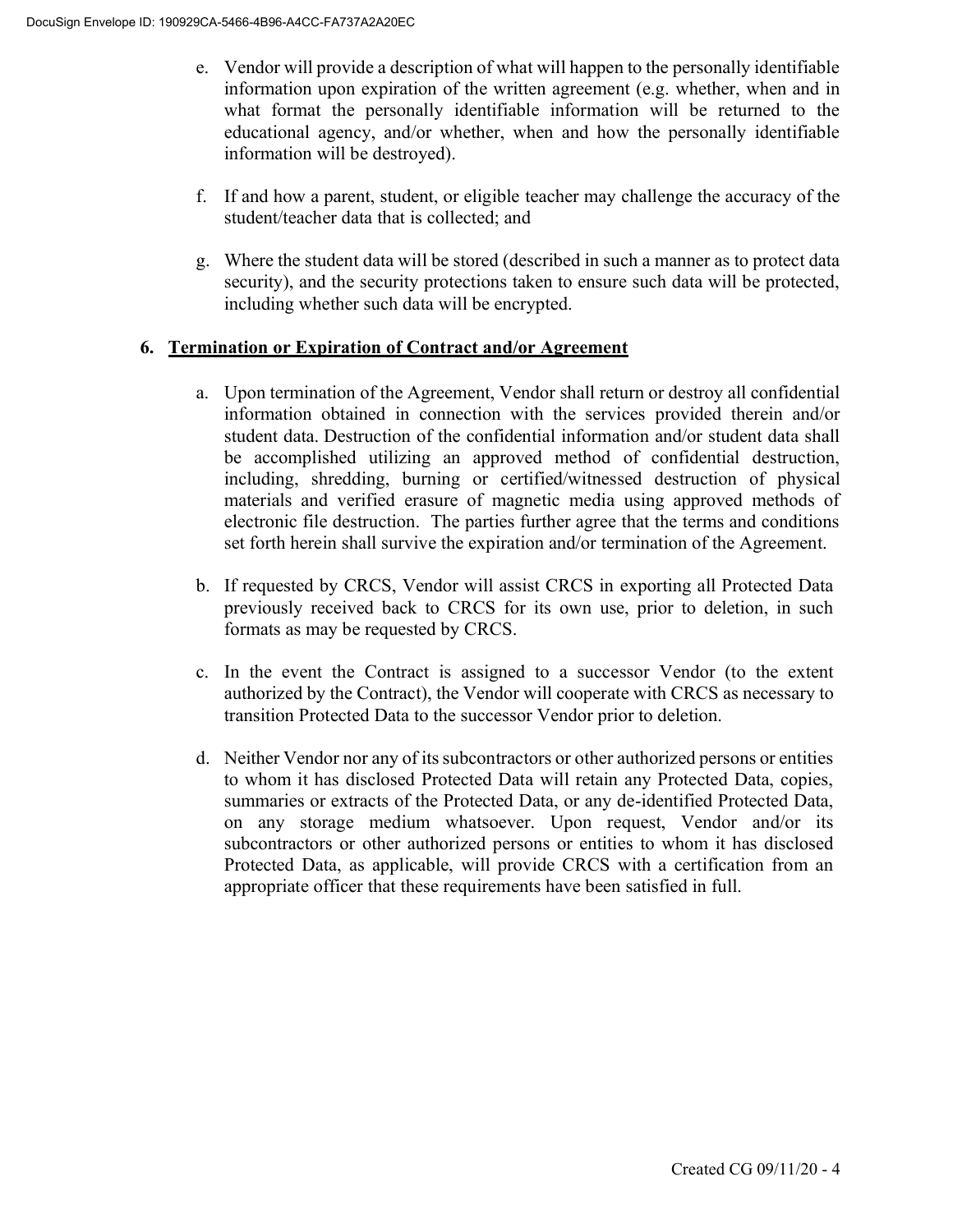- e. Vendor will provide a description of what will happen to the personally identifiable information upon expiration of the written agreement (e.g. whether, when and in what format the personally identifiable information will be returned to the educational agency, and/or whether, when and how the personally identifiable information will be destroyed).
- f. If and how a parent, student, or eligible teacher may challenge the accuracy of the student/teacher data that is collected; and
- g. Where the student data will be stored (described in such a manner as to protect data security), and the security protections taken to ensure such data will be protected, including whether such data will be encrypted.

#### **6. Termination or Expiration of Contract and/or Agreement**

- a. Upon termination of the Agreement, Vendor shall return or destroy all confidential information obtained in connection with the services provided therein and/or student data. Destruction of the confidential information and/or student data shall be accomplished utilizing an approved method of confidential destruction, including, shredding, burning or certified/witnessed destruction of physical materials and verified erasure of magnetic media using approved methods of electronic file destruction. The parties further agree that the terms and conditions set forth herein shall survive the expiration and/or termination of the Agreement.
- b. If requested by CRCS, Vendor will assist CRCS in exporting all Protected Data previously received back to CRCS for its own use, prior to deletion, in such formats as may be requested by CRCS.
- c. In the event the Contract is assigned to a successor Vendor (to the extent authorized by the Contract), the Vendor will cooperate with CRCS as necessary to transition Protected Data to the successor Vendor prior to deletion.
- d. Neither Vendor nor any of its subcontractors or other authorized persons or entities to whom it has disclosed Protected Data will retain any Protected Data, copies, summaries or extracts of the Protected Data, or any de-identified Protected Data, on any storage medium whatsoever. Upon request, Vendor and/or its subcontractors or other authorized persons or entities to whom it has disclosed Protected Data, as applicable, will provide CRCS with a certification from an appropriate officer that these requirements have been satisfied in full.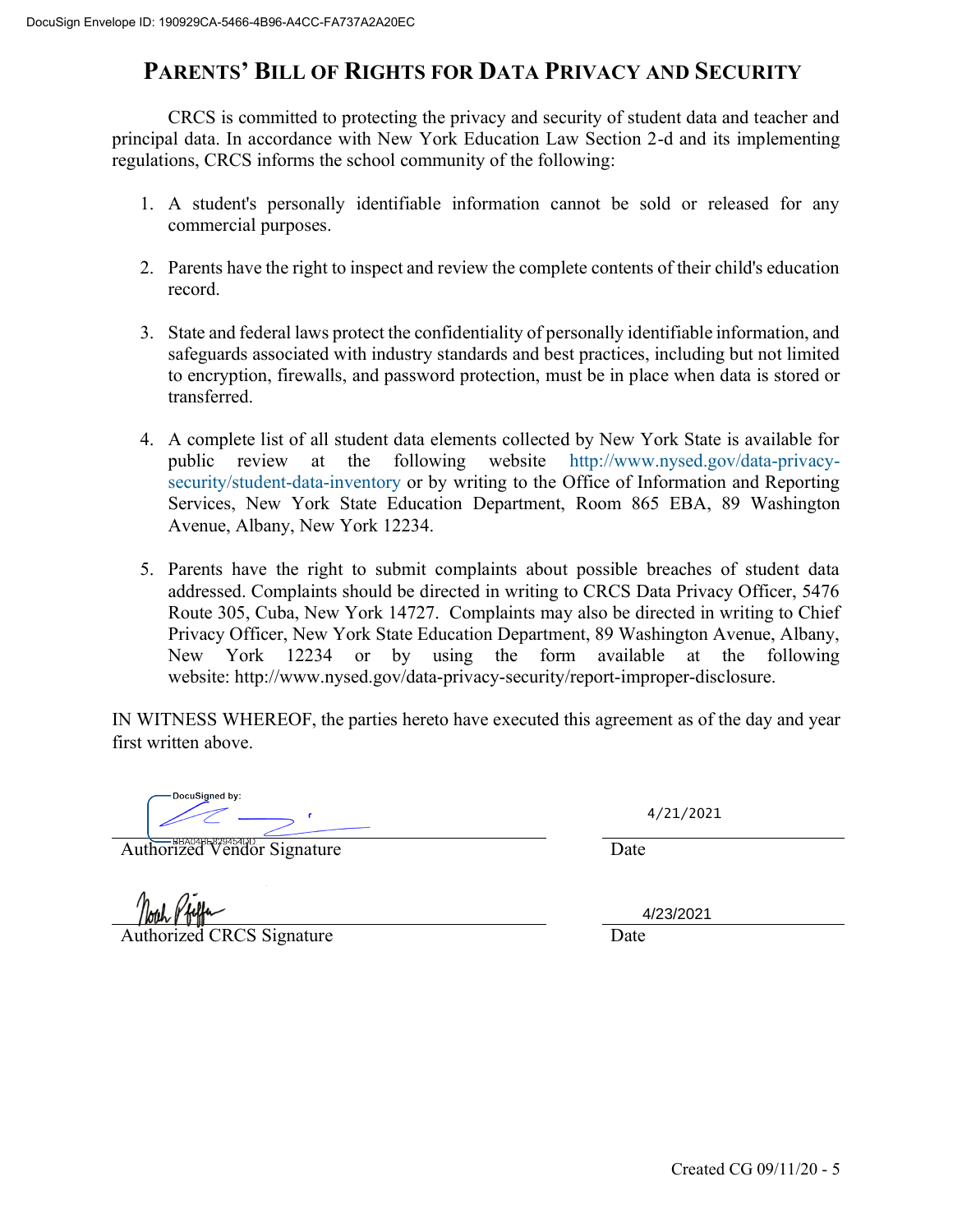## **PARENTS' BILL OF RIGHTS FOR DATA PRIVACY AND SECURITY**

CRCS is committed to protecting the privacy and security of student data and teacher and principal data. In accordance with New York Education Law Section 2-d and its implementing regulations, CRCS informs the school community of the following:

- 1. A student's personally identifiable information cannot be sold or released for any commercial purposes.
- 2. Parents have the right to inspect and review the complete contents of their child's education record.
- 3. State and federal laws protect the confidentiality of personally identifiable information, and safeguards associated with industry standards and best practices, including but not limited to encryption, firewalls, and password protection, must be in place when data is stored or transferred.
- 4. A complete list of all student data elements collected by New York State is available for public review at the following website [http://www.nysed.gov/data-privacy](http://www.nysed.gov/data-privacy-security/student-data-inventory)[security/student-data-inventory](http://www.nysed.gov/data-privacy-security/student-data-inventory) or by writing to the Office of Information and Reporting Services, New York State Education Department, Room 865 EBA, 89 Washington Avenue, Albany, New York 12234.
- 5. Parents have the right to submit complaints about possible breaches of student data addressed. Complaints should be directed in writing to CRCS Data Privacy Officer, 5476 Route 305, Cuba, New York 14727. Complaints may also be directed in writing to Chief Privacy Officer, New York State Education Department, 89 Washington Avenue, Albany, New York 12234 or by using the form available at the following website: [http://www.nysed.gov/data-privacy-security/report-improper-disclosure.](http://www.nysed.gov/data-privacy-security/report-improper-disclosure)

IN WITNESS WHEREOF, the parties hereto have executed this agreement as of the day and year first written above.

DocuSigned by:

Authorized Vendor Signature Date

4/21/2021

Authorized CRCS Signature Date

4/23/2021